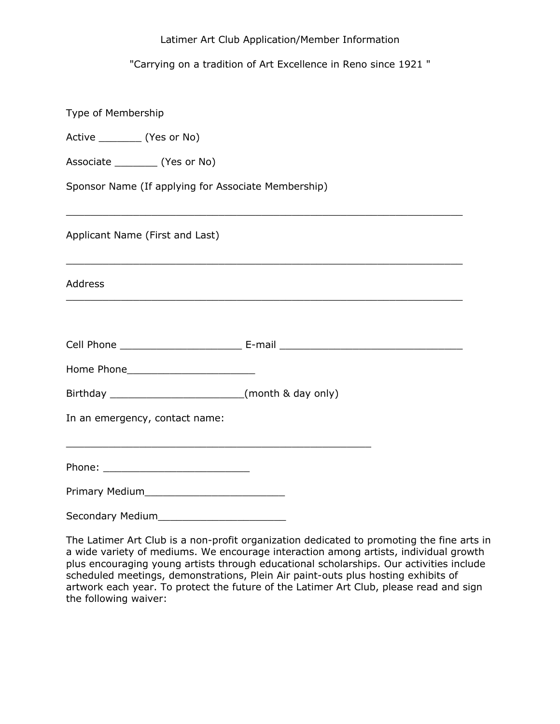## Latimer Art Club Application/Member Information

## "Carrying on a tradition of Art Excellence in Reno since 1921 "

| Type of Membership                                                                                                                      |  |
|-----------------------------------------------------------------------------------------------------------------------------------------|--|
| Active __________ (Yes or No)                                                                                                           |  |
| Associate ___________ (Yes or No)                                                                                                       |  |
| Sponsor Name (If applying for Associate Membership)                                                                                     |  |
| ,我们也不能在这里的时候,我们也不能在这里的时候,我们也不能会在这里的时候,我们也不能会在这里的时候,我们也不能会在这里的时候,我们也不能会在这里的时候,我们也不<br>Applicant Name (First and Last)                    |  |
| <u> 1989 - Johann Stoff, amerikan bestein de stad in de stad in de stad in de stad in de stad in de stad in de st</u><br><b>Address</b> |  |
|                                                                                                                                         |  |
|                                                                                                                                         |  |
|                                                                                                                                         |  |
| In an emergency, contact name:                                                                                                          |  |
|                                                                                                                                         |  |
|                                                                                                                                         |  |
|                                                                                                                                         |  |
|                                                                                                                                         |  |

The Latimer Art Club is a non-profit organization dedicated to promoting the fine arts in a wide variety of mediums. We encourage interaction among artists, individual growth plus encouraging young artists through educational scholarships. Our activities include scheduled meetings, demonstrations, Plein Air paint-outs plus hosting exhibits of artwork each year. To protect the future of the Latimer Art Club, please read and sign the following waiver: